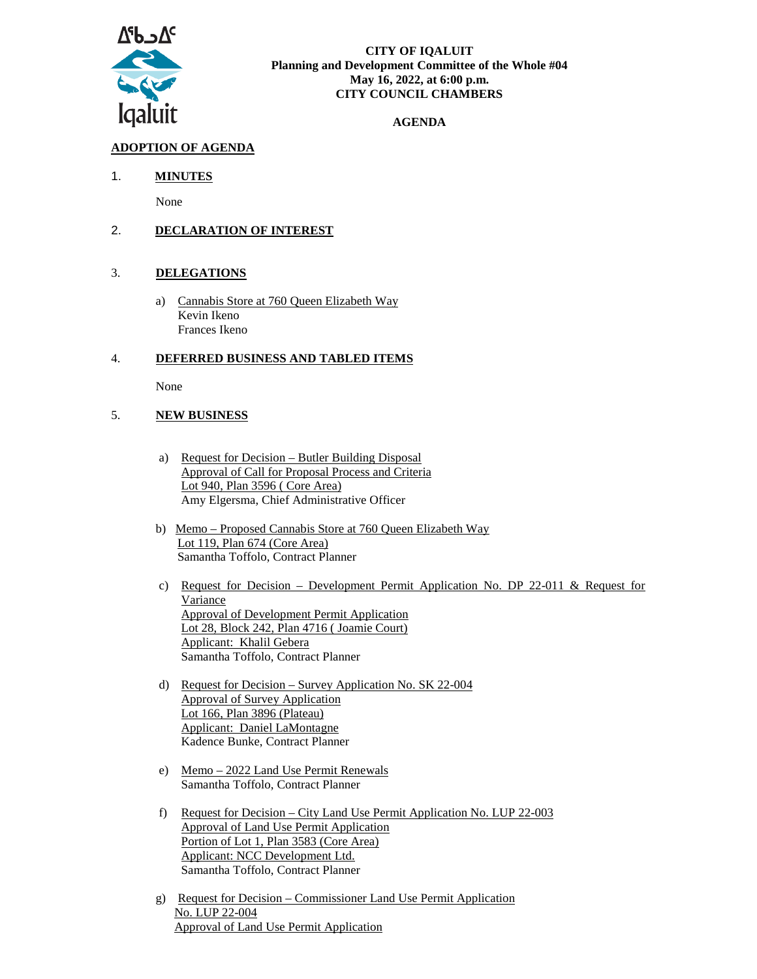

#### **CITY OF IQALUIT Planning and Development Committee of the Whole #04 May 16, 2022, at 6:00 p.m. CITY COUNCIL CHAMBERS**

### **AGENDA**

# **ADOPTION OF AGENDA**

## 1. **MINUTES**

None

## 2. **DECLARATION OF INTEREST**

### 3. **DELEGATIONS**

a) Cannabis Store at 760 Queen Elizabeth Way Kevin Ikeno Frances Ikeno

### 4. **DEFERRED BUSINESS AND TABLED ITEMS**

None

## 5. **NEW BUSINESS**

- a) Request for Decision Butler Building Disposal Approval of Call for Proposal Process and Criteria Lot 940, Plan 3596 ( Core Area) Amy Elgersma, Chief Administrative Officer
- b) Memo Proposed Cannabis Store at 760 Queen Elizabeth Way Lot 119, Plan 674 (Core Area) Samantha Toffolo, Contract Planner
- c) Request for Decision Development Permit Application No. DP 22-011 & Request for Variance Approval of Development Permit Application Lot 28, Block 242, Plan 4716 ( Joamie Court) Applicant: Khalil Gebera Samantha Toffolo, Contract Planner
- d) Request for Decision Survey Application No. SK 22-004 Approval of Survey Application Lot 166, Plan 3896 (Plateau) Applicant: Daniel LaMontagne Kadence Bunke, Contract Planner
- e) Memo 2022 Land Use Permit Renewals Samantha Toffolo, Contract Planner
- f) Request for Decision City Land Use Permit Application No. LUP 22-003 Approval of Land Use Permit Application Portion of Lot 1, Plan 3583 (Core Area) Applicant: NCC Development Ltd. Samantha Toffolo, Contract Planner
- g) Request for Decision Commissioner Land Use Permit Application No. LUP 22-004 Approval of Land Use Permit Application